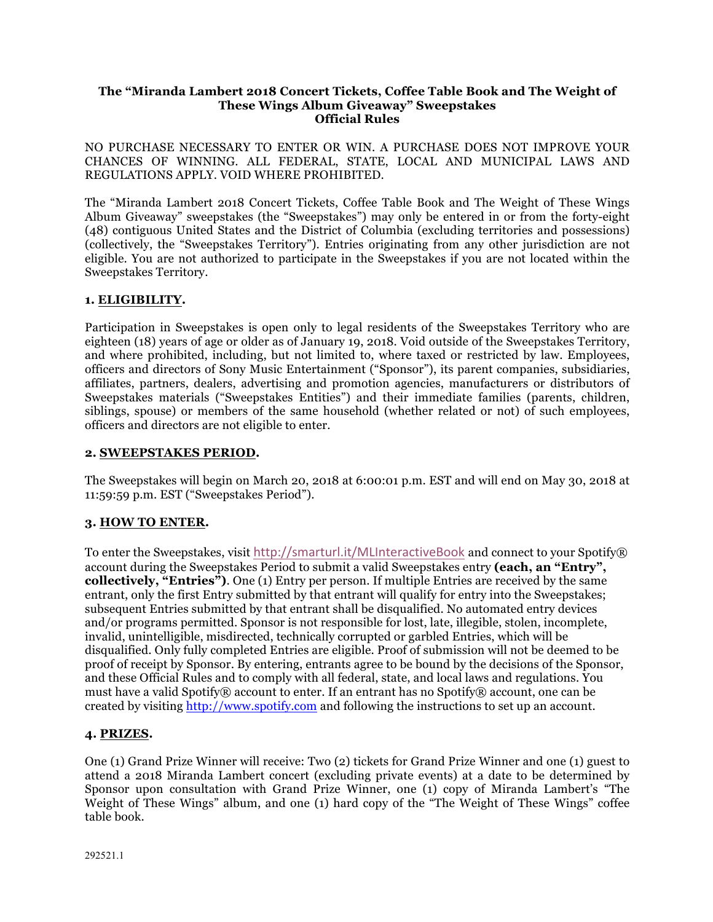#### **The "Miranda Lambert 2018 Concert Tickets, Coffee Table Book and The Weight of These Wings Album Giveaway" Sweepstakes Official Rules**

NO PURCHASE NECESSARY TO ENTER OR WIN. A PURCHASE DOES NOT IMPROVE YOUR CHANCES OF WINNING. ALL FEDERAL, STATE, LOCAL AND MUNICIPAL LAWS AND REGULATIONS APPLY. VOID WHERE PROHIBITED.

The "Miranda Lambert 2018 Concert Tickets, Coffee Table Book and The Weight of These Wings Album Giveaway" sweepstakes (the "Sweepstakes") may only be entered in or from the forty-eight (48) contiguous United States and the District of Columbia (excluding territories and possessions) (collectively, the "Sweepstakes Territory"). Entries originating from any other jurisdiction are not eligible. You are not authorized to participate in the Sweepstakes if you are not located within the Sweepstakes Territory.

## **1. ELIGIBILITY.**

Participation in Sweepstakes is open only to legal residents of the Sweepstakes Territory who are eighteen (18) years of age or older as of January 19, 2018. Void outside of the Sweepstakes Territory, and where prohibited, including, but not limited to, where taxed or restricted by law. Employees, officers and directors of Sony Music Entertainment ("Sponsor"), its parent companies, subsidiaries, affiliates, partners, dealers, advertising and promotion agencies, manufacturers or distributors of Sweepstakes materials ("Sweepstakes Entities") and their immediate families (parents, children, siblings, spouse) or members of the same household (whether related or not) of such employees, officers and directors are not eligible to enter.

## **2. SWEEPSTAKES PERIOD.**

The Sweepstakes will begin on March 20, 2018 at 6:00:01 p.m. EST and will end on May 30, 2018 at 11:59:59 p.m. EST ("Sweepstakes Period").

## **3. HOW TO ENTER.**

To enter the Sweepstakes, visit http://smarturl.it/MLInteractiveBook and connect to your Spotify® account during the Sweepstakes Period to submit a valid Sweepstakes entry **(each, an "Entry", collectively, "Entries")**. One (1) Entry per person. If multiple Entries are received by the same entrant, only the first Entry submitted by that entrant will qualify for entry into the Sweepstakes; subsequent Entries submitted by that entrant shall be disqualified. No automated entry devices and/or programs permitted. Sponsor is not responsible for lost, late, illegible, stolen, incomplete, invalid, unintelligible, misdirected, technically corrupted or garbled Entries, which will be disqualified. Only fully completed Entries are eligible. Proof of submission will not be deemed to be proof of receipt by Sponsor. By entering, entrants agree to be bound by the decisions of the Sponsor, and these Official Rules and to comply with all federal, state, and local laws and regulations. You must have a valid Spotify® account to enter. If an entrant has no Spotify® account, one can be created by visiting http://www.spotify.com and following the instructions to set up an account.

# **4. PRIZES.**

One (1) Grand Prize Winner will receive: Two (2) tickets for Grand Prize Winner and one (1) guest to attend a 2018 Miranda Lambert concert (excluding private events) at a date to be determined by Sponsor upon consultation with Grand Prize Winner, one (1) copy of Miranda Lambert's "The Weight of These Wings" album, and one (1) hard copy of the "The Weight of These Wings" coffee table book.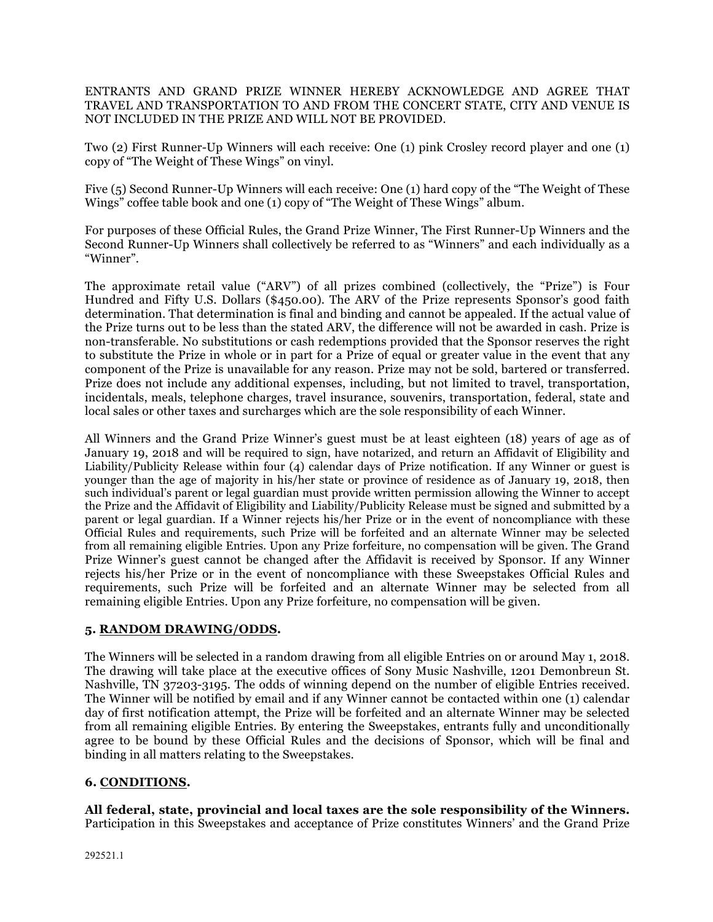ENTRANTS AND GRAND PRIZE WINNER HEREBY ACKNOWLEDGE AND AGREE THAT TRAVEL AND TRANSPORTATION TO AND FROM THE CONCERT STATE, CITY AND VENUE IS NOT INCLUDED IN THE PRIZE AND WILL NOT BE PROVIDED.

Two (2) First Runner-Up Winners will each receive: One (1) pink Crosley record player and one (1) copy of "The Weight of These Wings" on vinyl.

Five (5) Second Runner-Up Winners will each receive: One (1) hard copy of the "The Weight of These Wings" coffee table book and one (1) copy of "The Weight of These Wings" album.

For purposes of these Official Rules, the Grand Prize Winner, The First Runner-Up Winners and the Second Runner-Up Winners shall collectively be referred to as "Winners" and each individually as a "Winner".

The approximate retail value ("ARV") of all prizes combined (collectively, the "Prize") is Four Hundred and Fifty U.S. Dollars (\$450.00). The ARV of the Prize represents Sponsor's good faith determination. That determination is final and binding and cannot be appealed. If the actual value of the Prize turns out to be less than the stated ARV, the difference will not be awarded in cash. Prize is non-transferable. No substitutions or cash redemptions provided that the Sponsor reserves the right to substitute the Prize in whole or in part for a Prize of equal or greater value in the event that any component of the Prize is unavailable for any reason. Prize may not be sold, bartered or transferred. Prize does not include any additional expenses, including, but not limited to travel, transportation, incidentals, meals, telephone charges, travel insurance, souvenirs, transportation, federal, state and local sales or other taxes and surcharges which are the sole responsibility of each Winner.

All Winners and the Grand Prize Winner's guest must be at least eighteen (18) years of age as of January 19, 2018 and will be required to sign, have notarized, and return an Affidavit of Eligibility and Liability/Publicity Release within four (4) calendar days of Prize notification. If any Winner or guest is younger than the age of majority in his/her state or province of residence as of January 19, 2018, then such individual's parent or legal guardian must provide written permission allowing the Winner to accept the Prize and the Affidavit of Eligibility and Liability/Publicity Release must be signed and submitted by a parent or legal guardian. If a Winner rejects his/her Prize or in the event of noncompliance with these Official Rules and requirements, such Prize will be forfeited and an alternate Winner may be selected from all remaining eligible Entries. Upon any Prize forfeiture, no compensation will be given. The Grand Prize Winner's guest cannot be changed after the Affidavit is received by Sponsor. If any Winner rejects his/her Prize or in the event of noncompliance with these Sweepstakes Official Rules and requirements, such Prize will be forfeited and an alternate Winner may be selected from all remaining eligible Entries. Upon any Prize forfeiture, no compensation will be given.

# **5. RANDOM DRAWING/ODDS.**

The Winners will be selected in a random drawing from all eligible Entries on or around May 1, 2018. The drawing will take place at the executive offices of Sony Music Nashville, 1201 Demonbreun St. Nashville, TN 37203-3195. The odds of winning depend on the number of eligible Entries received. The Winner will be notified by email and if any Winner cannot be contacted within one (1) calendar day of first notification attempt, the Prize will be forfeited and an alternate Winner may be selected from all remaining eligible Entries. By entering the Sweepstakes, entrants fully and unconditionally agree to be bound by these Official Rules and the decisions of Sponsor, which will be final and binding in all matters relating to the Sweepstakes.

# **6. CONDITIONS.**

**All federal, state, provincial and local taxes are the sole responsibility of the Winners.** Participation in this Sweepstakes and acceptance of Prize constitutes Winners' and the Grand Prize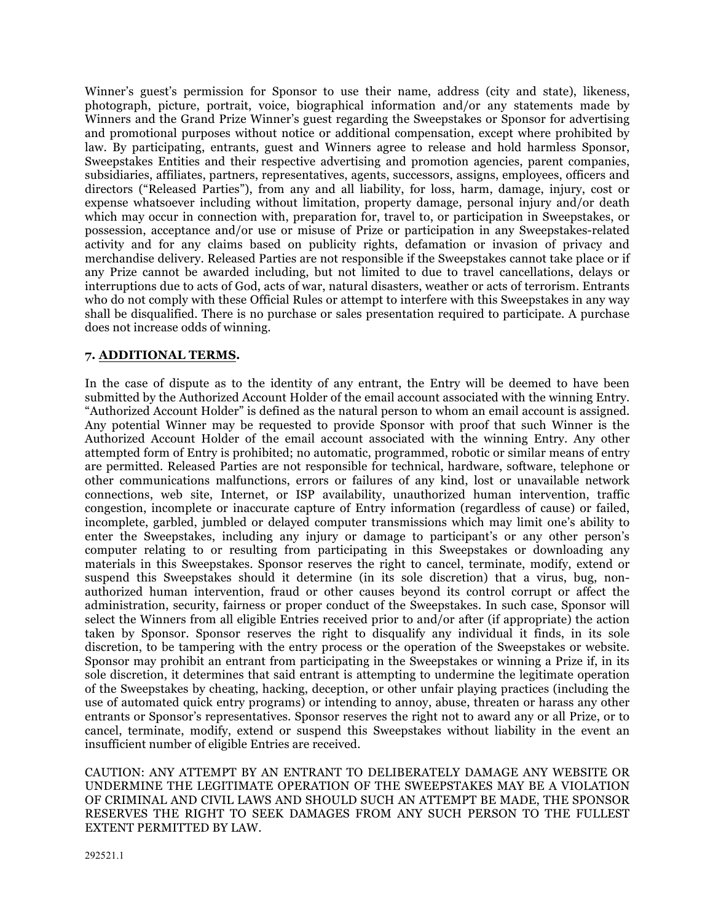Winner's guest's permission for Sponsor to use their name, address (city and state), likeness, photograph, picture, portrait, voice, biographical information and/or any statements made by Winners and the Grand Prize Winner's guest regarding the Sweepstakes or Sponsor for advertising and promotional purposes without notice or additional compensation, except where prohibited by law. By participating, entrants, guest and Winners agree to release and hold harmless Sponsor, Sweepstakes Entities and their respective advertising and promotion agencies, parent companies, subsidiaries, affiliates, partners, representatives, agents, successors, assigns, employees, officers and directors ("Released Parties"), from any and all liability, for loss, harm, damage, injury, cost or expense whatsoever including without limitation, property damage, personal injury and/or death which may occur in connection with, preparation for, travel to, or participation in Sweepstakes, or possession, acceptance and/or use or misuse of Prize or participation in any Sweepstakes-related activity and for any claims based on publicity rights, defamation or invasion of privacy and merchandise delivery. Released Parties are not responsible if the Sweepstakes cannot take place or if any Prize cannot be awarded including, but not limited to due to travel cancellations, delays or interruptions due to acts of God, acts of war, natural disasters, weather or acts of terrorism. Entrants who do not comply with these Official Rules or attempt to interfere with this Sweepstakes in any way shall be disqualified. There is no purchase or sales presentation required to participate. A purchase does not increase odds of winning.

## **7. ADDITIONAL TERMS.**

In the case of dispute as to the identity of any entrant, the Entry will be deemed to have been submitted by the Authorized Account Holder of the email account associated with the winning Entry. "Authorized Account Holder" is defined as the natural person to whom an email account is assigned. Any potential Winner may be requested to provide Sponsor with proof that such Winner is the Authorized Account Holder of the email account associated with the winning Entry. Any other attempted form of Entry is prohibited; no automatic, programmed, robotic or similar means of entry are permitted. Released Parties are not responsible for technical, hardware, software, telephone or other communications malfunctions, errors or failures of any kind, lost or unavailable network connections, web site, Internet, or ISP availability, unauthorized human intervention, traffic congestion, incomplete or inaccurate capture of Entry information (regardless of cause) or failed, incomplete, garbled, jumbled or delayed computer transmissions which may limit one's ability to enter the Sweepstakes, including any injury or damage to participant's or any other person's computer relating to or resulting from participating in this Sweepstakes or downloading any materials in this Sweepstakes. Sponsor reserves the right to cancel, terminate, modify, extend or suspend this Sweepstakes should it determine (in its sole discretion) that a virus, bug, nonauthorized human intervention, fraud or other causes beyond its control corrupt or affect the administration, security, fairness or proper conduct of the Sweepstakes. In such case, Sponsor will select the Winners from all eligible Entries received prior to and/or after (if appropriate) the action taken by Sponsor. Sponsor reserves the right to disqualify any individual it finds, in its sole discretion, to be tampering with the entry process or the operation of the Sweepstakes or website. Sponsor may prohibit an entrant from participating in the Sweepstakes or winning a Prize if, in its sole discretion, it determines that said entrant is attempting to undermine the legitimate operation of the Sweepstakes by cheating, hacking, deception, or other unfair playing practices (including the use of automated quick entry programs) or intending to annoy, abuse, threaten or harass any other entrants or Sponsor's representatives. Sponsor reserves the right not to award any or all Prize, or to cancel, terminate, modify, extend or suspend this Sweepstakes without liability in the event an insufficient number of eligible Entries are received.

CAUTION: ANY ATTEMPT BY AN ENTRANT TO DELIBERATELY DAMAGE ANY WEBSITE OR UNDERMINE THE LEGITIMATE OPERATION OF THE SWEEPSTAKES MAY BE A VIOLATION OF CRIMINAL AND CIVIL LAWS AND SHOULD SUCH AN ATTEMPT BE MADE, THE SPONSOR RESERVES THE RIGHT TO SEEK DAMAGES FROM ANY SUCH PERSON TO THE FULLEST EXTENT PERMITTED BY LAW.